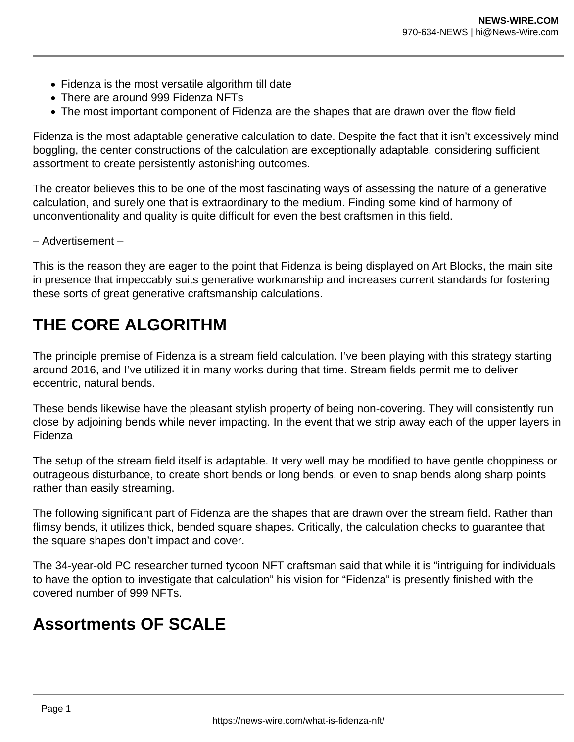- Fidenza is the most versatile algorithm till date
- There are around 999 Fidenza NFTs
- The most important component of Fidenza are the shapes that are drawn over the flow field

Fidenza is the most adaptable generative calculation to date. Despite the fact that it isn't excessively mind boggling, the center constructions of the calculation are exceptionally adaptable, considering sufficient assortment to create persistently astonishing outcomes.

The creator believes this to be one of the most fascinating ways of assessing the nature of a generative calculation, and surely one that is extraordinary to the medium. Finding some kind of harmony of unconventionality and quality is quite difficult for even the best craftsmen in this field.

– Advertisement –

This is the reason they are eager to the point that Fidenza is being displayed on Art Blocks, the main site in presence that impeccably suits generative workmanship and increases current standards for fostering these sorts of great generative craftsmanship calculations.

## **THE CORE ALGORITHM**

The principle premise of Fidenza is a stream field calculation. I've been playing with this strategy starting around 2016, and I've utilized it in many works during that time. Stream fields permit me to deliver eccentric, natural bends.

These bends likewise have the pleasant stylish property of being non-covering. They will consistently run close by adjoining bends while never impacting. In the event that we strip away each of the upper layers in Fidenza

The setup of the stream field itself is adaptable. It very well may be modified to have gentle choppiness or outrageous disturbance, to create short bends or long bends, or even to snap bends along sharp points rather than easily streaming.

The following significant part of Fidenza are the shapes that are drawn over the stream field. Rather than flimsy bends, it utilizes thick, bended square shapes. Critically, the calculation checks to guarantee that the square shapes don't impact and cover.

The 34-year-old PC researcher turned tycoon NFT craftsman said that while it is "intriguing for individuals to have the option to investigate that calculation" his vision for "Fidenza" is presently finished with the covered number of 999 NFTs.

## **Assortments OF SCALE**